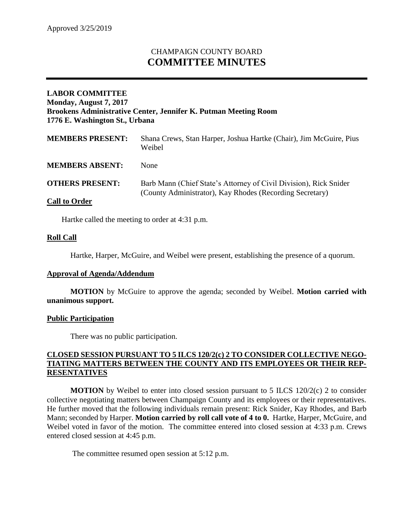# CHAMPAIGN COUNTY BOARD **COMMITTEE MINUTES**

### **LABOR COMMITTEE Monday, August 7, 2017 Brookens Administrative Center, Jennifer K. Putman Meeting Room 1776 E. Washington St., Urbana**

| <b>MEMBERS PRESENT:</b> | Shana Crews, Stan Harper, Joshua Hartke (Chair), Jim McGuire, Pius<br>Weibel                                                  |
|-------------------------|-------------------------------------------------------------------------------------------------------------------------------|
| <b>MEMBERS ABSENT:</b>  | <b>None</b>                                                                                                                   |
| <b>OTHERS PRESENT:</b>  | Barb Mann (Chief State's Attorney of Civil Division), Rick Snider<br>(County Administrator), Kay Rhodes (Recording Secretary) |
| <b>Call to Order</b>    |                                                                                                                               |

Hartke called the meeting to order at 4:31 p.m.

#### **Roll Call**

Hartke, Harper, McGuire, and Weibel were present, establishing the presence of a quorum.

#### **Approval of Agenda/Addendum**

**MOTION** by McGuire to approve the agenda; seconded by Weibel. **Motion carried with unanimous support.**

#### **Public Participation**

There was no public participation.

#### **CLOSED SESSION PURSUANT TO 5 ILCS 120/2(c) 2 TO CONSIDER COLLECTIVE NEGO-TIATING MATTERS BETWEEN THE COUNTY AND ITS EMPLOYEES OR THEIR REP-RESENTATIVES**

**MOTION** by Weibel to enter into closed session pursuant to 5 ILCS 120/2(c) 2 to consider collective negotiating matters between Champaign County and its employees or their representatives. He further moved that the following individuals remain present: Rick Snider, Kay Rhodes, and Barb Mann; seconded by Harper. **Motion carried by roll call vote of 4 to 0.** Hartke, Harper, McGuire, and Weibel voted in favor of the motion. The committee entered into closed session at 4:33 p.m. Crews entered closed session at 4:45 p.m.

The committee resumed open session at 5:12 p.m.